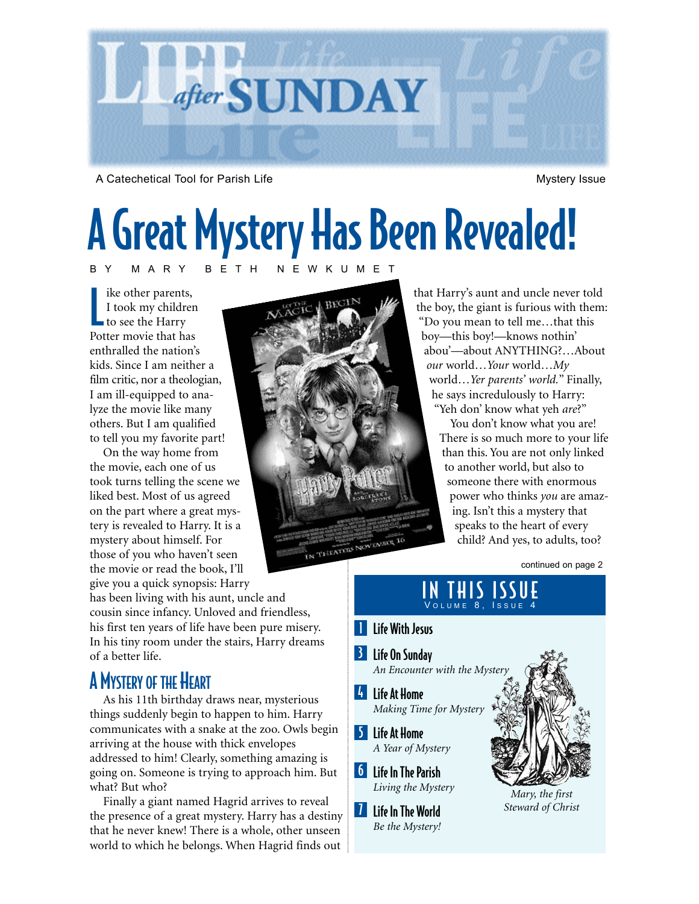

A Catechetical Tool for Parish Life Mystery Issue

# A Great Mystery Has Been Revealed! BY MARY BETH NEWKUMET

like other parent<br>
I took my children<br>
to see the Harry ike other parents, I took my children Potter movie that has enthralled the nation's kids. Since I am neither a film critic, nor a theologian, I am ill-equipped to analyze the movie like many others. But I am qualified to tell you my favorite part!

On the way home from the movie, each one of us took turns telling the scene we liked best. Most of us agreed on the part where a great mystery is revealed to Harry. It is a mystery about himself. For those of you who haven't seen the movie or read the book, I'll give you a quick synopsis: Harry

has been living with his aunt, uncle and cousin since infancy. Unloved and friendless, his first ten years of life have been pure misery. In his tiny room under the stairs, Harry dreams of a better life.

## A MYSTERY OF THE HEART

As his 11th birthday draws near, mysterious things suddenly begin to happen to him. Harry communicates with a snake at the zoo. Owls begin arriving at the house with thick envelopes addressed to him! Clearly, something amazing is going on. Someone is trying to approach him. But what? But who?

Finally a giant named Hagrid arrives to reveal the presence of a great mystery. Harry has a destiny that he never knew! There is a whole, other unseen world to which he belongs. When Hagrid finds out



that Harry's aunt and uncle never told the boy, the giant is furious with them: "Do you mean to tell me…that this boy—this boy!—knows nothin' abou'—about ANYTHING?…About *our* world…*Your* world…*My* world…*Yer parents' world.*" Finally, he says incredulously to Harry: "Yeh don' know what yeh *are*?"

You don't know what you are! There is so much more to your life than this. You are not only linked to another world, but also to someone there with enormous power who thinks *you* are amazing. Isn't this a mystery that speaks to the heart of every child? And yes, to adults, too?

continued on page 2

### IN THIS ISSUE VOLUME 8, ISSUE 4

### **I** Life With Jesus

- **3** Life On Sunday
- 4 Life At Home An Encounter with the Myster
- *Making Time for Mystery*
- 5 Life At Home *A Year of Mystery*
- **6** Life In The Parish *Living the Mystery*
- **7** Life In The World *Be the Mystery!*



*Mary, the first Steward of Christ*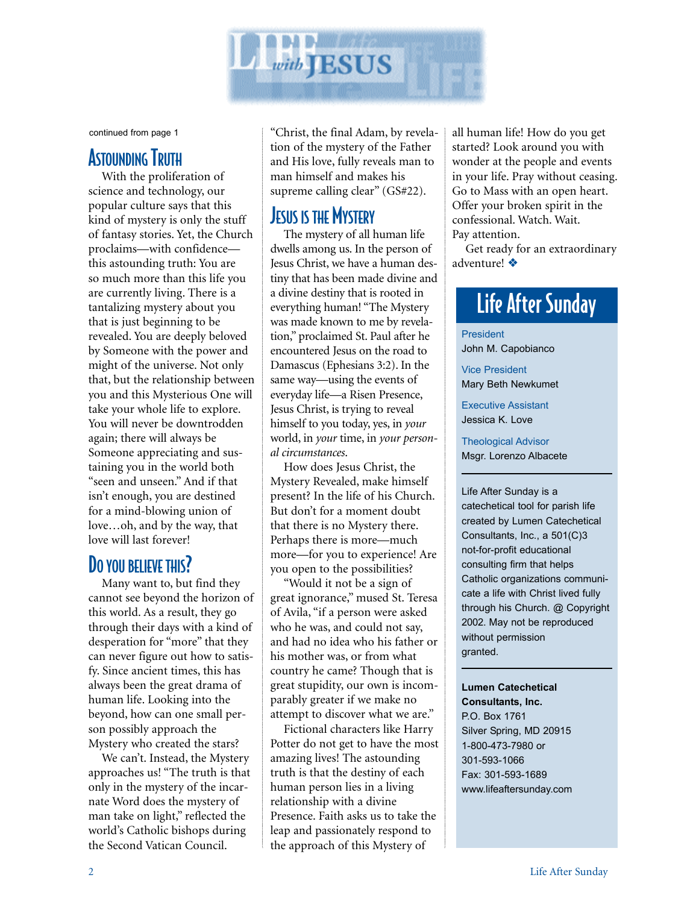

continued from page 1

### ASTOUNDING TRUTH

With the proliferation of science and technology, our popular culture says that this kind of mystery is only the stuff of fantasy stories. Yet, the Church proclaims—with confidence this astounding truth: You are so much more than this life you are currently living. There is a tantalizing mystery about you that is just beginning to be revealed. You are deeply beloved by Someone with the power and might of the universe. Not only that, but the relationship between you and this Mysterious One will take your whole life to explore. You will never be downtrodden again; there will always be Someone appreciating and sustaining you in the world both "seen and unseen." And if that isn't enough, you are destined for a mind-blowing union of love…oh, and by the way, that love will last forever!

## DO YOU BELIEVE THIS?

Many want to, but find they cannot see beyond the horizon of this world. As a result, they go through their days with a kind of desperation for "more" that they can never figure out how to satisfy. Since ancient times, this has always been the great drama of human life. Looking into the beyond, how can one small person possibly approach the Mystery who created the stars?

We can't. Instead, the Mystery approaches us! "The truth is that only in the mystery of the incarnate Word does the mystery of man take on light," reflected the world's Catholic bishops during the Second Vatican Council.

"Christ, the final Adam, by revelation of the mystery of the Father and His love, fully reveals man to man himself and makes his supreme calling clear" (GS#22).

## **JESUS IS THE MYSTERY**

The mystery of all human life dwells among us. In the person of Jesus Christ, we have a human destiny that has been made divine and a divine destiny that is rooted in everything human! "The Mystery was made known to me by revelation," proclaimed St. Paul after he encountered Jesus on the road to Damascus (Ephesians 3:2). In the same way—using the events of everyday life—a Risen Presence, Jesus Christ, is trying to reveal himself to you today, yes, in *your* world, in *your* time, in *your personal circumstances*.

How does Jesus Christ, the Mystery Revealed, make himself present? In the life of his Church. But don't for a moment doubt that there is no Mystery there. Perhaps there is more—much more—for you to experience! Are you open to the possibilities?

"Would it not be a sign of great ignorance," mused St. Teresa of Avila, "if a person were asked who he was, and could not say, and had no idea who his father or his mother was, or from what country he came? Though that is great stupidity, our own is incomparably greater if we make no attempt to discover what we are."

Fictional characters like Harry Potter do not get to have the most amazing lives! The astounding truth is that the destiny of each human person lies in a living relationship with a divine Presence. Faith asks us to take the leap and passionately respond to the approach of this Mystery of

all human life! How do you get started? Look around you with wonder at the people and events in your life. Pray without ceasing. Go to Mass with an open heart. Offer your broken spirit in the confessional. Watch. Wait. Pay attention.

Get ready for an extraordinary adventure! ❖

# Life After Sunday

President John M. Capobianco

Vice President Mary Beth Newkumet

Executive Assistant Jessica K. Love

Theological Advisor Msgr. Lorenzo Albacete

Life After Sunday is a catechetical tool for parish life created by Lumen Catechetical Consultants, Inc., a 501(C)3 not-for-profit educational consulting firm that helps Catholic organizations communicate a life with Christ lived fully through his Church. @ Copyright 2002. May not be reproduced without permission granted.

### **Lumen Catechetical Consultants, Inc.** P.O. Box 1761 Silver Spring, MD 20915

1-800-473-7980 or 301-593-1066 Fax: 301-593-1689 www.lifeaftersunday.com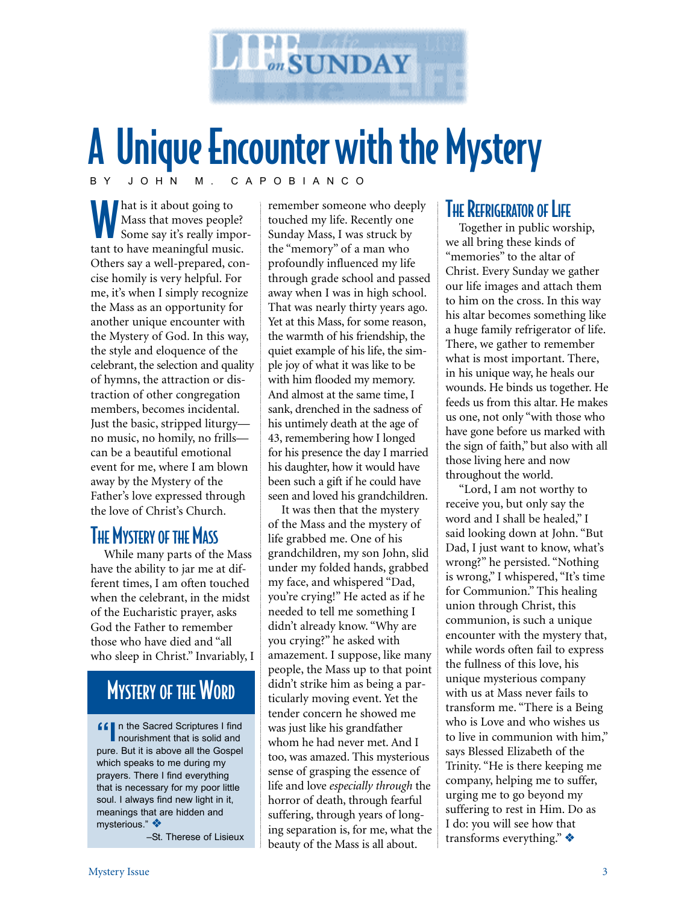

# A Unique Encounter with the Mystery BY JOHN M. CAPOBIANCO

What is it about going to Mass that moves people? Some say it's really important to have meaningful music. Others say a well-prepared, concise homily is very helpful. For me, it's when I simply recognize the Mass as an opportunity for another unique encounter with the Mystery of God. In this way, the style and eloquence of the celebrant, the selection and quality of hymns, the attraction or distraction of other congregation members, becomes incidental. Just the basic, stripped liturgy no music, no homily, no frills can be a beautiful emotional event for me, where I am blown away by the Mystery of the Father's love expressed through the love of Christ's Church.

## **THE MYSTERY OF THE MASS**

While many parts of the Mass have the ability to jar me at different times, I am often touched when the celebrant, in the midst of the Eucharistic prayer, asks God the Father to remember those who have died and "all who sleep in Christ." Invariably, I

## MYSTERY OF THE WORD

**ff** n the Sacred Scriptures I find nourishment that is solid and pure. But it is above all the Gospel which speaks to me during my prayers. There I find everything that is necessary for my poor little soul. I always find new light in it, meanings that are hidden and mysterious." ❖

–St. Therese of Lisieux

remember someone who deeply touched my life. Recently one Sunday Mass, I was struck by the "memory" of a man who profoundly influenced my life through grade school and passed away when I was in high school. That was nearly thirty years ago. Yet at this Mass, for some reason, the warmth of his friendship, the quiet example of his life, the simple joy of what it was like to be with him flooded my memory. And almost at the same time, I sank, drenched in the sadness of his untimely death at the age of 43, remembering how I longed for his presence the day I married his daughter, how it would have been such a gift if he could have seen and loved his grandchildren.

It was then that the mystery of the Mass and the mystery of life grabbed me. One of his grandchildren, my son John, slid under my folded hands, grabbed my face, and whispered "Dad, you're crying!" He acted as if he needed to tell me something I didn't already know. "Why are you crying?" he asked with amazement. I suppose, like many people, the Mass up to that point didn't strike him as being a particularly moving event. Yet the tender concern he showed me was just like his grandfather whom he had never met. And I too, was amazed. This mysterious sense of grasping the essence of life and love *especially through* the horror of death, through fearful suffering, through years of longing separation is, for me, what the beauty of the Mass is all about.

### **THE REFRIGERATOR OF LIFE**

Together in public worship, we all bring these kinds of "memories" to the altar of Christ. Every Sunday we gather our life images and attach them to him on the cross. In this way his altar becomes something like a huge family refrigerator of life. There, we gather to remember what is most important. There, in his unique way, he heals our wounds. He binds us together. He feeds us from this altar. He makes us one, not only "with those who have gone before us marked with the sign of faith," but also with all those living here and now throughout the world.

"Lord, I am not worthy to receive you, but only say the word and I shall be healed," I said looking down at John. "But Dad, I just want to know, what's wrong?" he persisted. "Nothing is wrong," I whispered, "It's time for Communion." This healing union through Christ, this communion, is such a unique encounter with the mystery that, while words often fail to express the fullness of this love, his unique mysterious company with us at Mass never fails to transform me. "There is a Being who is Love and who wishes us to live in communion with him," says Blessed Elizabeth of the Trinity. "He is there keeping me company, helping me to suffer, urging me to go beyond my suffering to rest in Him. Do as I do: you will see how that transforms everything." ❖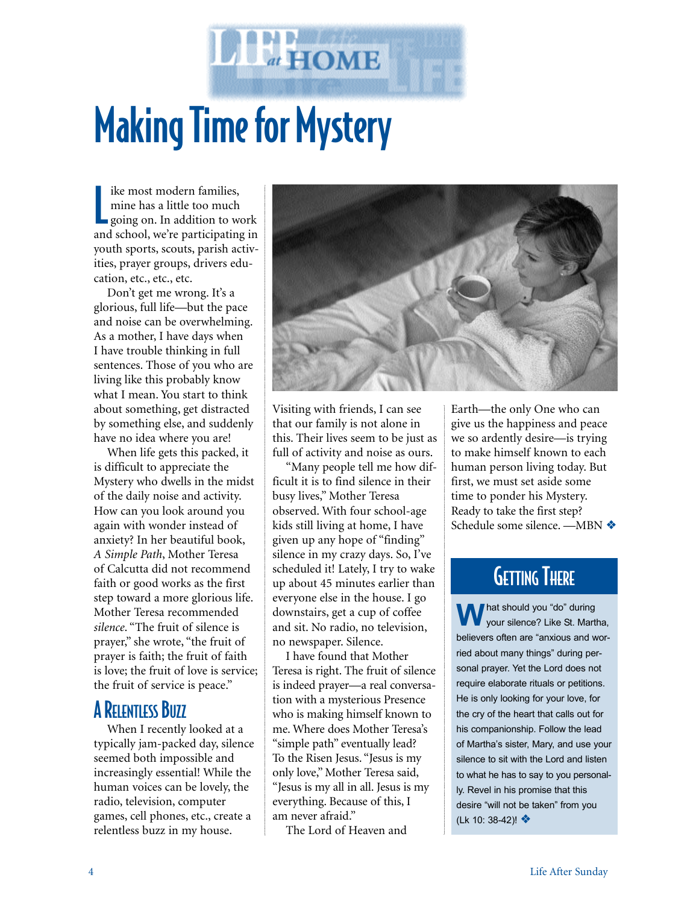# Making Time for Mystery

**The HOME** 

I ike most modern families,<br>
mine has a little too much<br>
going on. In addition to work ike most modern families, mine has a little too much and school, we're participating in youth sports, scouts, parish activities, prayer groups, drivers education, etc., etc., etc.

Don't get me wrong. It's a glorious, full life—but the pace and noise can be overwhelming. As a mother, I have days when I have trouble thinking in full sentences. Those of you who are living like this probably know what I mean. You start to think about something, get distracted by something else, and suddenly have no idea where you are!

When life gets this packed, it is difficult to appreciate the Mystery who dwells in the midst of the daily noise and activity. How can you look around you again with wonder instead of anxiety? In her beautiful book, *A Simple Path*, Mother Teresa of Calcutta did not recommend faith or good works as the first step toward a more glorious life. Mother Teresa recommended *silence*. "The fruit of silence is prayer," she wrote, "the fruit of prayer is faith; the fruit of faith is love; the fruit of love is service; the fruit of service is peace."

### **A RELENTLESS BUZZ**

When I recently looked at a typically jam-packed day, silence seemed both impossible and increasingly essential! While the human voices can be lovely, the radio, television, computer games, cell phones, etc., create a relentless buzz in my house.



Visiting with friends, I can see that our family is not alone in this. Their lives seem to be just as full of activity and noise as ours.

"Many people tell me how difficult it is to find silence in their busy lives," Mother Teresa observed. With four school-age kids still living at home, I have given up any hope of "finding" silence in my crazy days. So, I've scheduled it! Lately, I try to wake up about 45 minutes earlier than everyone else in the house. I go downstairs, get a cup of coffee and sit. No radio, no television, no newspaper. Silence.

I have found that Mother Teresa is right. The fruit of silence is indeed prayer—a real conversation with a mysterious Presence who is making himself known to me. Where does Mother Teresa's "simple path" eventually lead? To the Risen Jesus. "Jesus is my only love," Mother Teresa said, "Jesus is my all in all. Jesus is my everything. Because of this, I am never afraid."

The Lord of Heaven and

Earth—the only One who can give us the happiness and peace we so ardently desire—is trying to make himself known to each human person living today. But first, we must set aside some time to ponder his Mystery. Ready to take the first step? Schedule some silence. —MBN ❖

## **GETTING THERE**

W hat should you "do" during<br>
your silence? Like St. Martha, believers often are "anxious and worried about many things" during personal prayer. Yet the Lord does not require elaborate rituals or petitions. He is only looking for your love, for the cry of the heart that calls out for his companionship. Follow the lead of Martha's sister, Mary, and use your silence to sit with the Lord and listen to what he has to say to you personally. Revel in his promise that this desire "will not be taken" from you (Lk 10: 38-42)! ❖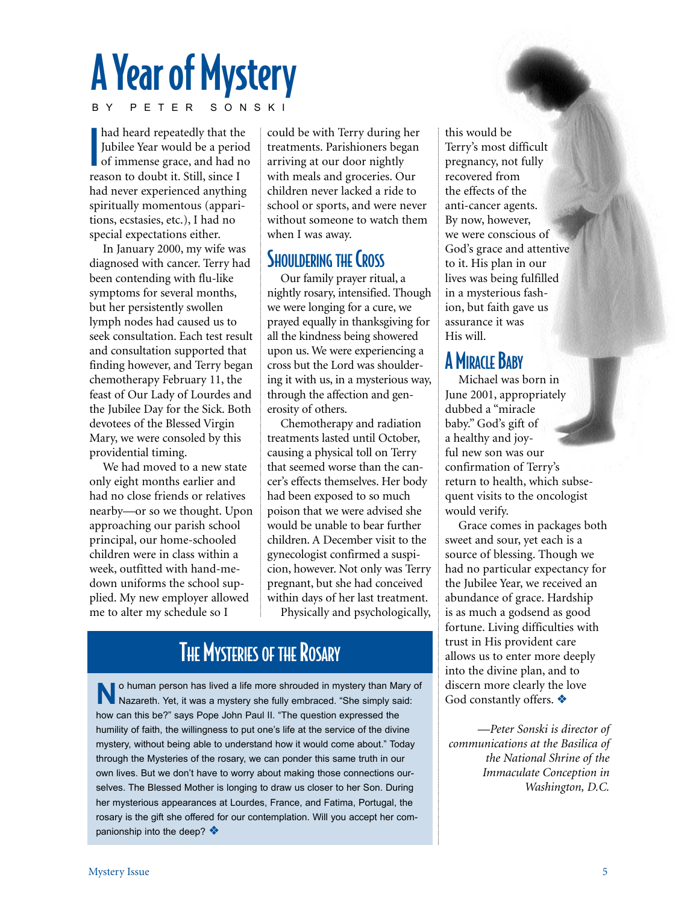# A Year of Mystery

BY PETER SONSKI

**International Control** had heard repeatedly that the Jubilee Year would be a period of immense grace, and had no reason to doubt it. Still, since I had never experienced anything spiritually momentous (apparitions, ecstasies, etc.), I had no special expectations either.

In January 2000, my wife was diagnosed with cancer. Terry had been contending with flu-like symptoms for several months, but her persistently swollen lymph nodes had caused us to seek consultation. Each test result and consultation supported that finding however, and Terry began chemotherapy February 11, the feast of Our Lady of Lourdes and the Jubilee Day for the Sick. Both devotees of the Blessed Virgin Mary, we were consoled by this providential timing.

We had moved to a new state only eight months earlier and had no close friends or relatives nearby—or so we thought. Upon approaching our parish school principal, our home-schooled children were in class within a week, outfitted with hand-medown uniforms the school supplied. My new employer allowed me to alter my schedule so I

could be with Terry during her treatments. Parishioners began arriving at our door nightly with meals and groceries. Our children never lacked a ride to school or sports, and were never without someone to watch them when I was away.

## SHOULDERING THE CROSS

Our family prayer ritual, a nightly rosary, intensified. Though we were longing for a cure, we prayed equally in thanksgiving for all the kindness being showered upon us. We were experiencing a cross but the Lord was shouldering it with us, in a mysterious way, through the affection and generosity of others.

Chemotherapy and radiation treatments lasted until October, causing a physical toll on Terry that seemed worse than the cancer's effects themselves. Her body had been exposed to so much poison that we were advised she would be unable to bear further children. A December visit to the gynecologist confirmed a suspicion, however. Not only was Terry pregnant, but she had conceived within days of her last treatment. Physically and psychologically,

# **THE MYSTERIES OF THE ROSARY**

**N**o human person has lived a life more shrouded in mystery than Mary of Nazareth. Yet, it was a mystery she fully embraced. "She simply said: how can this be?" says Pope John Paul II. "The question expressed the humility of faith, the willingness to put one's life at the service of the divine mystery, without being able to understand how it would come about." Today through the Mysteries of the rosary, we can ponder this same truth in our own lives. But we don't have to worry about making those connections ourselves. The Blessed Mother is longing to draw us closer to her Son. During her mysterious appearances at Lourdes, France, and Fatima, Portugal, the rosary is the gift she offered for our contemplation. Will you accept her companionship into the deep? ❖

this would be Terry's most difficult pregnancy, not fully recovered from the effects of the anti-cancer agents. By now, however, we were conscious of God's grace and attentive to it. His plan in our lives was being fulfilled in a mysterious fashion, but faith gave us assurance it was His will.

## **A MIRACLE BABY**

Michael was born in June 2001, appropriately dubbed a "miracle baby." God's gift of a healthy and joyful new son was our confirmation of Terry's return to health, which subsequent visits to the oncologist would verify.

Grace comes in packages both sweet and sour, yet each is a source of blessing. Though we had no particular expectancy for the Jubilee Year, we received an abundance of grace. Hardship is as much a godsend as good fortune. Living difficulties with trust in His provident care allows us to enter more deeply into the divine plan, and to discern more clearly the love God constantly offers. ❖

—*Peter Sonski is director of communications at the Basilica of the National Shrine of the Immaculate Conception in Washington, D.C.*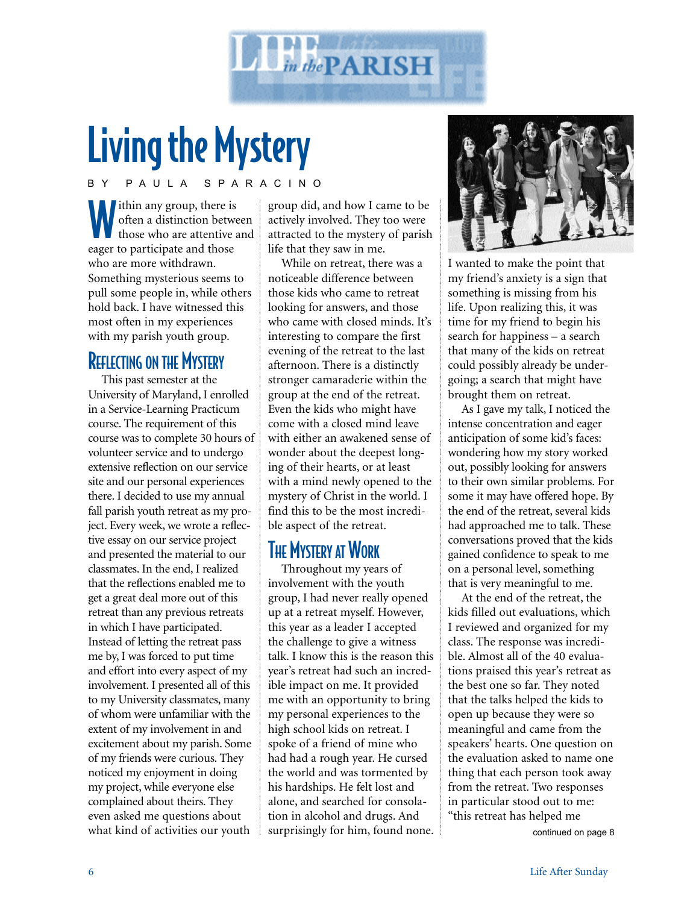

# Living the Mystery

BY PAULA SPARACINO

Within any group, there is<br>often a distinction between those who are attentive often a distinction between those who are attentive and eager to participate and those who are more withdrawn. Something mysterious seems to pull some people in, while others hold back. I have witnessed this most often in my experiences with my parish youth group.

### REFLECTING ON THE MYSTERY

This past semester at the University of Maryland, I enrolled in a Service-Learning Practicum course. The requirement of this course was to complete 30 hours of volunteer service and to undergo extensive reflection on our service site and our personal experiences there. I decided to use my annual fall parish youth retreat as my project. Every week, we wrote a reflective essay on our service project and presented the material to our classmates. In the end, I realized that the reflections enabled me to get a great deal more out of this retreat than any previous retreats in which I have participated. Instead of letting the retreat pass me by, I was forced to put time and effort into every aspect of my involvement. I presented all of this to my University classmates, many of whom were unfamiliar with the extent of my involvement in and excitement about my parish. Some of my friends were curious. They noticed my enjoyment in doing my project, while everyone else complained about theirs. They even asked me questions about what kind of activities our youth

group did, and how I came to be actively involved. They too were attracted to the mystery of parish life that they saw in me.

While on retreat, there was a noticeable difference between those kids who came to retreat looking for answers, and those who came with closed minds. It's interesting to compare the first evening of the retreat to the last afternoon. There is a distinctly stronger camaraderie within the group at the end of the retreat. Even the kids who might have come with a closed mind leave with either an awakened sense of wonder about the deepest longing of their hearts, or at least with a mind newly opened to the mystery of Christ in the world. I find this to be the most incredible aspect of the retreat.

### **THE MYSTERY AT WORK**

Throughout my years of involvement with the youth group, I had never really opened up at a retreat myself. However, this year as a leader I accepted the challenge to give a witness talk. I know this is the reason this year's retreat had such an incredible impact on me. It provided me with an opportunity to bring my personal experiences to the high school kids on retreat. I spoke of a friend of mine who had had a rough year. He cursed the world and was tormented by his hardships. He felt lost and alone, and searched for consolation in alcohol and drugs. And surprisingly for him, found none.



I wanted to make the point that my friend's anxiety is a sign that something is missing from his life. Upon realizing this, it was time for my friend to begin his search for happiness – a search that many of the kids on retreat could possibly already be undergoing; a search that might have brought them on retreat.

As I gave my talk, I noticed the intense concentration and eager anticipation of some kid's faces: wondering how my story worked out, possibly looking for answers to their own similar problems. For some it may have offered hope. By the end of the retreat, several kids had approached me to talk. These conversations proved that the kids gained confidence to speak to me on a personal level, something that is very meaningful to me.

At the end of the retreat, the kids filled out evaluations, which I reviewed and organized for my class. The response was incredible. Almost all of the 40 evaluations praised this year's retreat as the best one so far. They noted that the talks helped the kids to open up because they were so meaningful and came from the speakers' hearts. One question on the evaluation asked to name one thing that each person took away from the retreat. Two responses in particular stood out to me: "this retreat has helped me

continued on page 8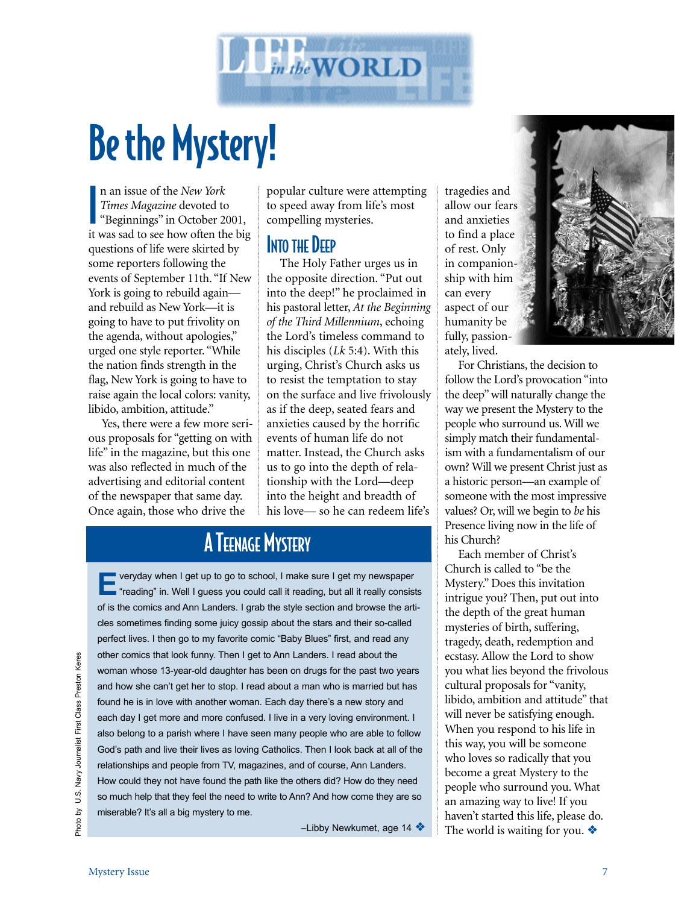

# Be the Mystery!

I n an issue of the *New York Times Magazine* devoted to "Beginnings" in October 2001, it was sad to see how often the big questions of life were skirted by some reporters following the events of September 11th. "If New York is going to rebuild again and rebuild as New York—it is going to have to put frivolity on the agenda, without apologies," urged one style reporter. "While the nation finds strength in the flag, New York is going to have to raise again the local colors: vanity, libido, ambition, attitude."

Yes, there were a few more serious proposals for "getting on with life" in the magazine, but this one was also reflected in much of the advertising and editorial content of the newspaper that same day. Once again, those who drive the

popular culture were attempting to speed away from life's most compelling mysteries.

### **INTO THE DEEP**

The Holy Father urges us in the opposite direction. "Put out into the deep!" he proclaimed in his pastoral letter, *At the Beginning of the Third Millennium*, echoing the Lord's timeless command to his disciples (*Lk* 5:4). With this urging, Christ's Church asks us to resist the temptation to stay on the surface and live frivolously as if the deep, seated fears and anxieties caused by the horrific events of human life do not matter. Instead, the Church asks us to go into the depth of relationship with the Lord—deep into the height and breadth of his love— so he can redeem life's

# **A TEENAGE MYSTERY**

veryday when I get up to go to school, I make sure I get my newspaper " "reading" in. Well I guess you could call it reading, but all it really consists of is the comics and Ann Landers. I grab the style section and browse the articles sometimes finding some juicy gossip about the stars and their so-called perfect lives. I then go to my favorite comic "Baby Blues" first, and read any other comics that look funny. Then I get to Ann Landers. I read about the woman whose 13-year-old daughter has been on drugs for the past two years and how she can't get her to stop. I read about a man who is married but has found he is in love with another woman. Each day there's a new story and each day I get more and more confused. I live in a very loving environment. I also belong to a parish where I have seen many people who are able to follow God's path and live their lives as loving Catholics. Then I look back at all of the relationships and people from TV, magazines, and of course, Ann Landers. How could they not have found the path like the others did? How do they need so much help that they feel the need to write to Ann? And how come they are so miserable? It's all a big mystery to me.

–Libby Newkumet, age 14 ❖

tragedies and allow our fears and anxieties to find a place of rest. Only in companionship with him can every aspect of our humanity be fully, passionately, lived.



Each member of Christ's Church is called to "be the Mystery." Does this invitation intrigue you? Then, put out into the depth of the great human mysteries of birth, suffering, tragedy, death, redemption and ecstasy. Allow the Lord to show you what lies beyond the frivolous cultural proposals for "vanity, libido, ambition and attitude" that will never be satisfying enough. When you respond to his life in this way, you will be someone who loves so radically that you become a great Mystery to the people who surround you. What an amazing way to live! If you haven't started this life, please do. The world is waiting for you.  $\triangle$